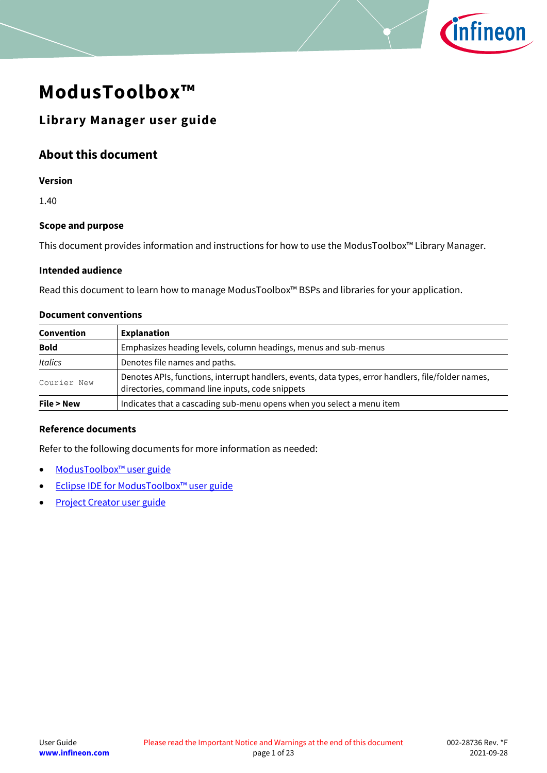

# **ModusToolbox™**

### **Library Manager user guide**

### **About this document**

#### **Version**

1.40

### **Scope and purpose**

This document provides information and instructions for how to use the ModusToolbox™ Library Manager.

### **Intended audience**

Read this document to learn how to manage ModusToolbox™ BSPs and libraries for your application.

#### **Document conventions**

| Convention  | <b>Explanation</b>                                                                                                                                     |
|-------------|--------------------------------------------------------------------------------------------------------------------------------------------------------|
| <b>Bold</b> | Emphasizes heading levels, column headings, menus and sub-menus                                                                                        |
| Italics     | Denotes file names and paths.                                                                                                                          |
| Courier New | Denotes APIs, functions, interrupt handlers, events, data types, error handlers, file/folder names,<br>directories, command line inputs, code snippets |
| File > New  | Indicates that a cascading sub-menu opens when you select a menu item                                                                                  |

### **Reference documents**

Refer to the following documents for more information as needed:

- [ModusToolbox™](https://www.cypress.com/ModusToolboxUserGuide) user guide
- Eclipse IDE for [ModusToolbox™](https://www.cypress.com/MTBEclipseIDEUserGuide) user guide
- [Project Creator user guide](https://www.cypress.com/ModusToolboxProjectCreator)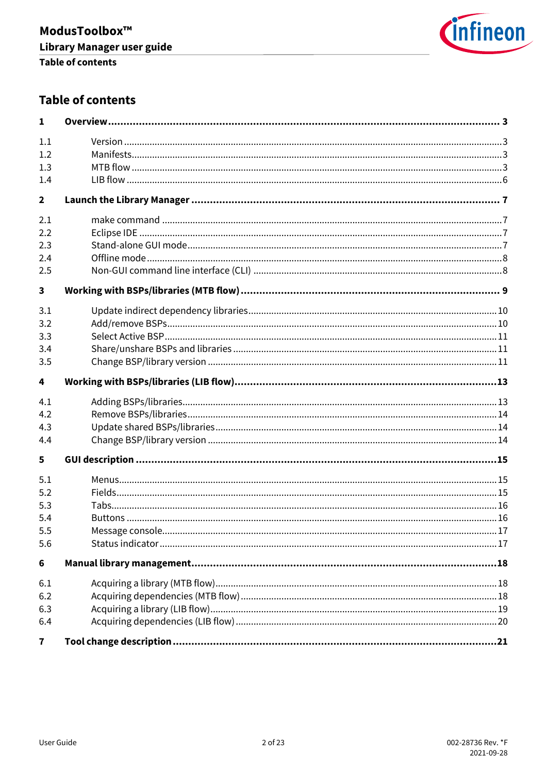

## **Table of contents**

| $\mathbf{1}$            |  |
|-------------------------|--|
| 1.1                     |  |
| 1.2                     |  |
| 1.3                     |  |
| 1.4                     |  |
| $\overline{\mathbf{2}}$ |  |
| 2.1                     |  |
| 2.2                     |  |
| 2.3                     |  |
| 2.4                     |  |
| 2.5                     |  |
| 3                       |  |
| 3.1                     |  |
| 3.2                     |  |
| 3.3                     |  |
| 3.4                     |  |
| 3.5                     |  |
| 4                       |  |
| 4.1                     |  |
| 4.2                     |  |
| 4.3                     |  |
| 4.4                     |  |
| 5                       |  |
| 5.1                     |  |
| 5.2                     |  |
| 5.3                     |  |
| 5.4                     |  |
| 5.5                     |  |
| 5.6                     |  |
| 6                       |  |
| 6.1                     |  |
| 6.2                     |  |
| 6.3                     |  |
| 6.4                     |  |
| $\overline{\mathbf{r}}$ |  |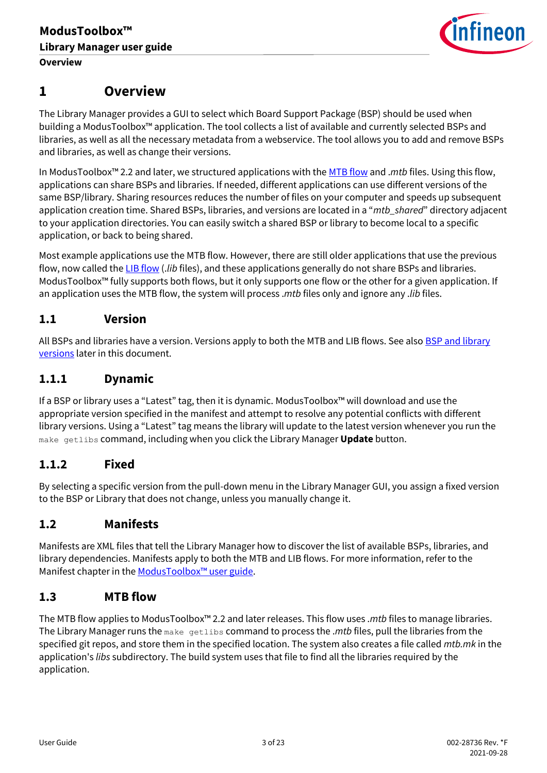

## <span id="page-2-0"></span>**1 Overview**

The Library Manager provides a GUI to select which Board Support Package (BSP) should be used when building a ModusToolbox™ application. The tool collects a list of available and currently selected BSPs and libraries, as well as all the necessary metadata from a webservice. The tool allows you to add and remove BSPs and libraries, as well as change their versions.

In ModusToolbox™ 2.2 and later, we structured applications with the [MTB flow](#page-2-3) and .*mtb* files. Using this flow, applications can share BSPs and libraries. If needed, different applications can use different versions of the same BSP/library. Sharing resources reduces the number of files on your computer and speeds up subsequent application creation time. Shared BSPs, libraries, and versions are located in a "*mtb\_shared*" directory adjacent to your application directories. You can easily switch a shared BSP or library to become local to a specific application, or back to being shared.

Most example applications use the MTB flow. However, there are still older applications that use the previous flow, now called th[e LIB flow](#page-5-0) (.*lib* files), and these applications generally do not share BSPs and libraries. ModusToolbox™ fully supports both flows, but it only supports one flow or the other for a given application. If an application uses the MTB flow, the system will process .*mtb* files only and ignore any .*lib* files.

### <span id="page-2-1"></span>**1.1 Version**

All BSPs and libraries have a version. Versions apply to both the MTB and LIB flows. See also **BSP and library** [versions](#page-15-2) later in this document.

### **1.1.1 Dynamic**

If a BSP or library uses a "Latest" tag, then it is dynamic. ModusToolbox™ will download and use the appropriate version specified in the manifest and attempt to resolve any potential conflicts with different library versions. Using a "Latest" tag means the library will update to the latest version whenever you run the make getlibs command, including when you click the Library Manager **Update** button.

### **1.1.2 Fixed**

By selecting a specific version from the pull-down menu in the Library Manager GUI, you assign a fixed version to the BSP or Library that does not change, unless you manually change it.

### <span id="page-2-2"></span>**1.2 Manifests**

Manifests are XML files that tell the Library Manager how to discover the list of available BSPs, libraries, and library dependencies. Manifests apply to both the MTB and LIB flows. For more information, refer to the Manifest chapter in the [ModusToolbox](https://www.cypress.com/ModusToolboxUserGuide)™ user guide.

### <span id="page-2-3"></span>**1.3 MTB flow**

<span id="page-2-4"></span>The MTB flow applies to ModusToolbox™ 2.2 and later releases. This flow uses .*mtb* files to manage libraries. The Library Manager runs the make getlibs command to process the .*mtb* files, pull the libraries from the specified git repos, and store them in the specified location. The system also creates a file called *mtb.mk* in the application's *libs* subdirectory. The build system uses that file to find all the libraries required by the application.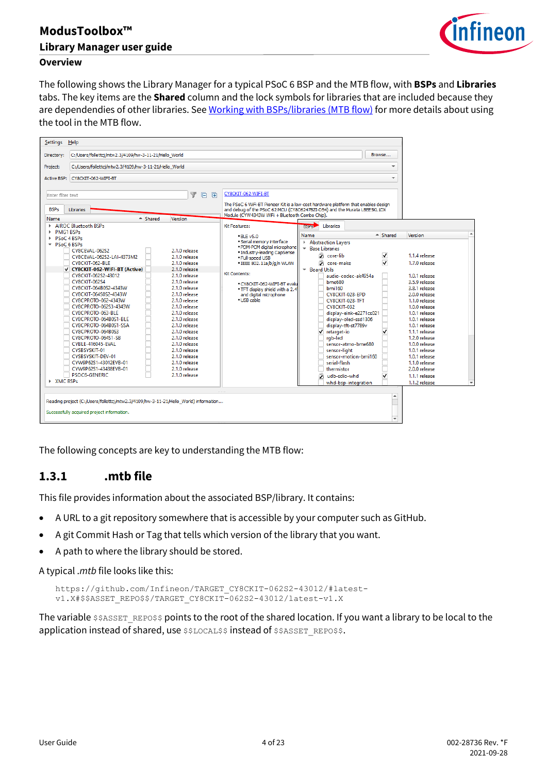

### **Overview**

The following shows the Library Manager for a typical PSoC 6 BSP and the MTB flow, with **BSPs** and **Libraries** tabs. The key items are the **Shared** column and the lock symbols for libraries that are included because they are dependendies of other libraries. See [Working with BSPs/libraries \(MTB flow\)](#page-8-0) for more details about using the tool in the MTB flow.



The following concepts are key to understanding the MTB flow:

### **1.3.1 .mtb file**

This file provides information about the associated BSP/library. It contains:

- A URL to a git repository somewhere that is accessible by your computer such as GitHub.
- A git Commit Hash or Tag that tells which version of the library that you want.
- A path to where the library should be stored.

A typical .*mtb* file looks like this:

https://github.com/Infineon/TARGET\_CY8CKIT-062S2-43012/#latestv1.X#\$\$ASSET\_REPO\$\$/TARGET\_CY8CKIT-062S2-43012/latest-v1.X

The variable \$\$ASSET\_REPO\$\$ points to the root of the shared location. If you want a library to be local to the application instead of shared, use \$\$LOCAL\$\$ instead of \$\$ASSET\_REPO\$\$.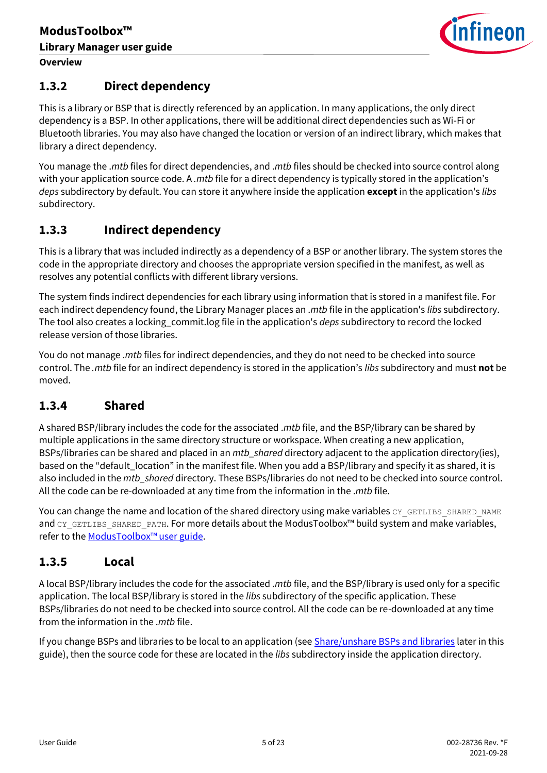

### <span id="page-4-1"></span>**1.3.2 Direct dependency**

This is a library or BSP that is directly referenced by an application. In many applications, the only direct dependency is a BSP. In other applications, there will be additional direct dependencies such as Wi-Fi or Bluetooth libraries. You may also have changed the location or version of an indirect library, which makes that library a direct dependency.

You manage the .*mtb* files for direct dependencies, and .*mtb* files should be checked into source control along with your application source code. A *.mtb* file for a direct dependency is typically stored in the application's *deps* subdirectory by default. You can store it anywhere inside the application **except** in the application's *libs* subdirectory.

### <span id="page-4-0"></span>**1.3.3 Indirect dependency**

This is a library that was included indirectly as a dependency of a BSP or another library. The system stores the code in the appropriate directory and chooses the appropriate version specified in the manifest, as well as resolves any potential conflicts with different library versions.

The system finds indirect dependencies for each library using information that is stored in a manifest file. For each indirect dependency found, the Library Manager places an .*mtb* file in the application's *libs* subdirectory. The tool also creates a locking\_commit.log file in the application's *deps* subdirectory to record the locked release version of those libraries.

You do not manage .*mtb* files for indirect dependencies, and they do not need to be checked into source control. The *.mtb* file for an indirect dependency is stored in the application's *libs* subdirectory and must **not** be moved.

### **1.3.4 Shared**

A shared BSP/library includes the code for the associated .*mtb* file, and the BSP/library can be shared by multiple applications in the same directory structure or workspace. When creating a new application, BSPs/libraries can be shared and placed in an *mtb\_shared* directory adjacent to the application directory(ies), based on the "default\_location" in the manifest file. When you add a BSP/library and specify it as shared, it is also included in the *mtb\_shared* directory. These BSPs/libraries do not need to be checked into source control. All the code can be re-downloaded at any time from the information in the .*mtb* file.

You can change the name and location of the shared directory using make variables CY\_GETLIBS\_SHARED\_NAME and CY\_GETLIBS\_SHARED\_PATH. For more details about the ModusToolbox™ build system and make variables, refer to the **ModusToolbox<sup>™</sup> user guide**.

### **1.3.5 Local**

A local BSP/library includes the code for the associated .*mtb* file, and the BSP/library is used only for a specific application. The local BSP/library is stored in the *libs* subdirectory of the specific application. These BSPs/libraries do not need to be checked into source control. All the code can be re-downloaded at any time from the information in the .*mtb* file.

If you change BSPs and libraries to be local to an application (see [Share/unshare BSPs and libraries](#page-10-1) later in this guide), then the source code for these are located in the *libs* subdirectory inside the application directory.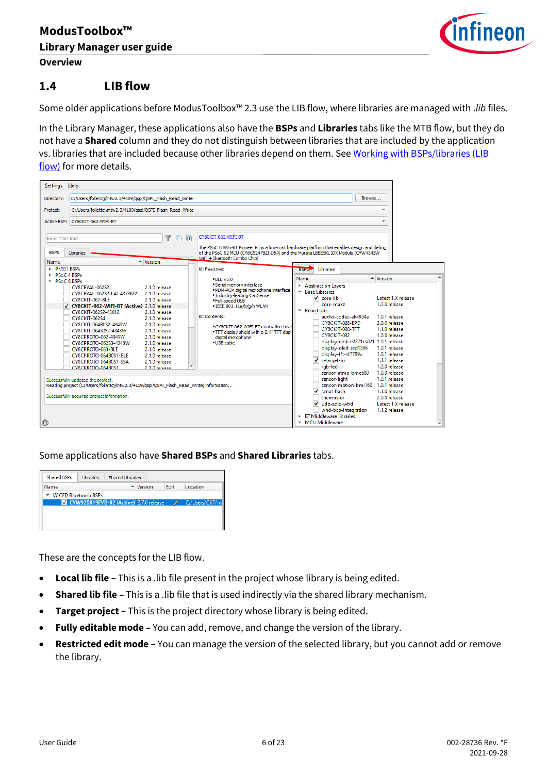

### <span id="page-5-0"></span>**1.4 LIB flow**

Some older applications before ModusToolbox™ 2.3 use the LIB flow, where libraries are managed with .*lib* files.

In the Library Manager, these applications also have the **BSPs** and **Libraries** tabs like the MTB flow, but they do not have a **Shared** column and they do not distinguish between libraries that are included by the application vs. libraries that are included because other libraries depend on them. See Working with BSPs/libraries (LIB [flow\)](#page-12-0) for more details.

| Settings Help                                                          |                                                                                                                                                                            |                                                                                                    |                                                                                                                                                                                                                                         |                                                                                                                         |                                                                                                                            |   |
|------------------------------------------------------------------------|----------------------------------------------------------------------------------------------------------------------------------------------------------------------------|----------------------------------------------------------------------------------------------------|-----------------------------------------------------------------------------------------------------------------------------------------------------------------------------------------------------------------------------------------|-------------------------------------------------------------------------------------------------------------------------|----------------------------------------------------------------------------------------------------------------------------|---|
| Directory:                                                             | C:/Users/follettcj/mtw2.3/4109/gspi/QSPI_Flash_Read_Write                                                                                                                  |                                                                                                    |                                                                                                                                                                                                                                         |                                                                                                                         | Browse                                                                                                                     |   |
| Project:                                                               | C:/Users/follettcj/mtw2.3/4109/qspi/QSPI Flash Read Write<br>۰                                                                                                             |                                                                                                    |                                                                                                                                                                                                                                         |                                                                                                                         |                                                                                                                            |   |
| <b>Active BSP:</b>                                                     | CY8CKIT-062-WIFI-BT                                                                                                                                                        |                                                                                                    |                                                                                                                                                                                                                                         |                                                                                                                         |                                                                                                                            |   |
| Enter filter text<br><b>BSPs</b><br>Name                               | Libraries                                                                                                                                                                  | A<br>F<br>量<br>$\triangleq$ Version                                                                | CY8CKIT-062-WIFI-BT<br>The PSoC 6 WiFi-BT Pioneer Kit is a low-cost hardware platform that enables design and debug<br>of the PSoC 62 MCU (CY8C6247BZI-D54) and the Murata LBEE5KL1DX Module (CYW4343W<br>WiFi + Bluetooth Combo Chip). |                                                                                                                         |                                                                                                                            |   |
| <b>PMG1 BSPs</b><br>PSoC 4 BSPs<br>P <sub>SO</sub> C <sub>6</sub> BSPs | CY8CEVAL-062S2                                                                                                                                                             | 2.1.0 release                                                                                      | Kit Features:<br>$-BIFv5.0$<br>· Serial memory interface<br>· PDM-PCM digital microphone interface                                                                                                                                      | Libraries<br><b>BISBAR</b><br>Name<br>Abstraction Lavers<br><b>Base Libraries</b>                                       | $\triangleq$ Version                                                                                                       | ▲ |
|                                                                        | CY8CEVAL-062S2-LAI-4373M2<br>CY8CKIT-062-BLE<br>V CY8CKIT-062-WIFI-BT (Active) 2.1.0 release<br>CY8CKIT-062S2-43012                                                        | 2.1.0 release<br>2.1.0 release<br>2.1.0 release                                                    | · Industry-leading CapSense<br>. Full-speed USB<br>· IEEE 802.11a/b/g/n WLAN                                                                                                                                                            | $\sqrt{ }$ core-lib<br>core-make<br><b>Board Utils</b><br>$\overline{\phantom{a}}$                                      | Latest 1.X release<br>1.7.0 release                                                                                        |   |
|                                                                        | CY8CKIT-062S4<br>CY8CKIT-064B0S2-4343W<br>CY8CKIT-064S0S2-4343W<br>CY8CPROTO-062-4343W<br>CY8CPROTO-062S3-4343W<br>CY8CPROTO-063-BLE                                       | 2.1.0 release<br>2.1.0 release<br>2.1.0 release<br>2.1.0 release<br>2.1.0 release<br>2.1.0 release | Kit Contents:<br>· CY8CKIT-062-WIFI-BT evaluation boar<br>. TFT display shield with a 2.4" TFT displa<br>digital microphone<br>. USB cable                                                                                              | audio-codec-ak4954a<br>CY8CKIT-028-FPD<br>CY8CKIT-028-TFT<br>CY8CKIT-032<br>display-oled-ssd1306                        | 1.0.1 release<br>2.0.0 release<br>1.1.0 release<br>1.0.0 release<br>display-eink-e2271cs021 1.0.1 release<br>1.0.1 release |   |
|                                                                        | CY8CPROTO-064B0S1-BLE<br>CY8CPROTO-064B0S1-SSA<br>CV8CPROTO-064B0S3                                                                                                        | 2.1.0 release<br>2.1.0 release<br>$\overline{\phantom{a}}$<br>2.1.0 release                        |                                                                                                                                                                                                                                         | display-tft-st7789v<br>٧<br>retarget-io<br>rab-led<br>sensor-atmo-bme680                                                | 1.0.1 release<br>1.1.1 release<br>1.2.0 release<br>1.0.0 release<br>1.0.1 release                                          |   |
|                                                                        | Successfully updated the project.<br>Reading project (C:/Users/follettcj/mtw2.3/4109/qspi/QSPI_Flash_Read_Write) information<br>Successfully acquired project information. |                                                                                                    |                                                                                                                                                                                                                                         | sensor-light<br>sensor-motion-bmi160<br>$\sqrt{\phantom{a}}$ serial-flash<br>thermistor<br>$\checkmark$<br>udb-sdio-whd | 1.0.1 release<br>1.1.0 release<br>2.0.0 release<br>Latest 1.X release                                                      |   |
| $\bigoplus$                                                            |                                                                                                                                                                            |                                                                                                    |                                                                                                                                                                                                                                         | whd-bsp-integration<br><b>BT Middleware libraries</b><br>* MCU Middleware                                               | 1.1.2 release                                                                                                              |   |

Some applications also have **Shared BSPs** and **Shared Libraries** tabs.

| <b>Shared BSPs</b> | Libraries                   | <b>Shared Libraries</b>                  |         |      |                 |
|--------------------|-----------------------------|------------------------------------------|---------|------|-----------------|
| Name               |                             |                                          | Version | Edit | Location        |
|                    | <b>WICED Bluetooth BSPs</b> |                                          |         |      |                 |
|                    |                             | V CYW920819EVB-02 (Active) 2.7.0 release |         |      | C:/Users/CKF/mf |
|                    |                             |                                          |         |      |                 |
|                    |                             |                                          |         |      |                 |
|                    |                             |                                          |         |      |                 |

These are the concepts for the LIB flow.

- **Local lib file –** This is a .lib file present in the project whose library is being edited.
- **Shared lib file –** This is a .lib file that is used indirectly via the shared library mechanism.
- **Target project –** This is the project directory whose library is being edited.
- **Fully editable mode –** You can add, remove, and change the version of the library.
- **Restricted edit mode –** You can manage the version of the selected library, but you cannot add or remove the library.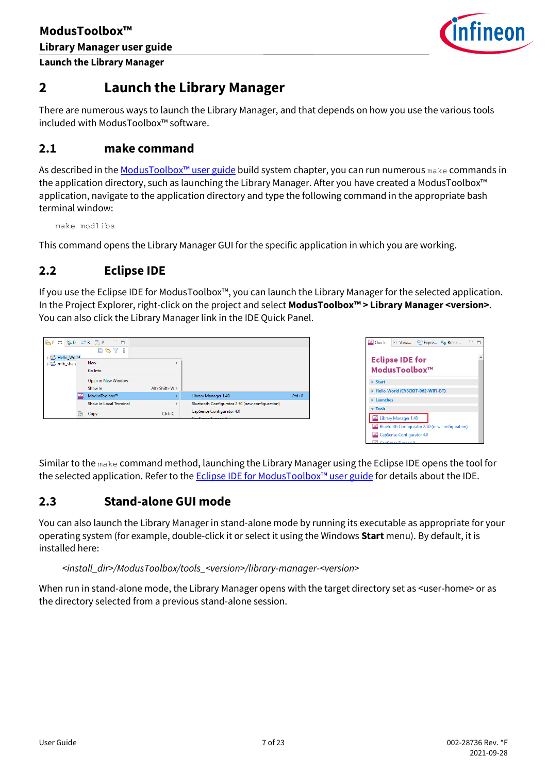

# <span id="page-6-0"></span>**2 Launch the Library Manager**

There are numerous ways to launch the Library Manager, and that depends on how you use the various tools included with ModusToolbox™ software.

### <span id="page-6-1"></span>**2.1 make command**

As described in the [ModusToolbox™ u](https://www.cypress.com/ModusToolboxUserGuide)ser guide build system chapter, you can run numerous make commands in the application directory, such as launching the Library Manager. After you have created a ModusToolbox™ application, navigate to the application directory and type the following command in the appropriate bash terminal window:

make modlibs

This command opens the Library Manager GUI for the specific application in which you are working.

### <span id="page-6-2"></span>**2.2 Eclipse IDE**

If you use the Eclipse IDE for ModusToolbox™, you can launch the Library Manager for the selected application. In the Project Explorer, right-click on the project and select **ModusToolbox™ > Library Manager <version>**. You can also click the Library Manager link in the IDE Quick Panel.

| <b>P</b> <sub>D</sub> |   | 83 #D 888 H HR<br>$\qquad \qquad \Box$ |                   |                                                 |            |
|-----------------------|---|----------------------------------------|-------------------|-------------------------------------------------|------------|
|                       |   | E<br>每了8                               |                   |                                                 |            |
| Hello_World           |   |                                        |                   |                                                 |            |
| mtb_share             |   | New                                    |                   |                                                 |            |
|                       |   | Go Into                                |                   |                                                 |            |
|                       |   | Open in New Window                     |                   |                                                 |            |
|                       |   | Show In                                | $Alt + Shift + W$ |                                                 |            |
|                       |   | ModusToolbox™                          |                   | Library Manager 1.40                            | $Ctrl + 8$ |
|                       |   | <b>Show in Local Terminal</b>          |                   | Bluetooth Configurator 2.50 (new configuration) |            |
|                       | h | Copy                                   | $Ctrl + C$        | CapSense Configurator 4.0                       |            |
|                       |   |                                        |                   |                                                 |            |

|              |                           | Quick (x)= Varia 60 Expre · Break |                                                 |  |
|--------------|---------------------------|-----------------------------------|-------------------------------------------------|--|
|              |                           |                                   |                                                 |  |
|              | <b>Eclipse IDE for</b>    |                                   |                                                 |  |
|              | ModusToolbox™             |                                   |                                                 |  |
| <b>Start</b> |                           |                                   |                                                 |  |
|              |                           | Hello World (CY8CKIT-062-WIFI-BT) |                                                 |  |
| Launches     |                           |                                   |                                                 |  |
| <b>Tools</b> |                           |                                   |                                                 |  |
|              | Library Manager 1.40      |                                   |                                                 |  |
|              |                           |                                   | Bluetooth Configurator 2.50 (new configuration) |  |
|              | CapSense Configurator 4.0 |                                   |                                                 |  |
|              | `anSanca Tunar /          |                                   |                                                 |  |

Similar to the make command method, launching the Library Manager using the Eclipse IDE opens the tool for the selected application. Refer to the Eclipse IDE for [ModusToolbox™ u](https://www.cypress.com/MTBEclipseIDEUserGuide)ser guide for details about the IDE.

### <span id="page-6-3"></span>**2.3 Stand-alone GUI mode**

You can also launch the Library Manager in stand-alone mode by running its executable as appropriate for your operating system (for example, double-click it or select it using the Windows **Start** menu). By default, it is installed here:

#### *<install\_dir>/ModusToolbox/tools\_<version>/library-manager-<version>*

When run in stand-alone mode, the Library Manager opens with the target directory set as <user-home> or as the directory selected from a previous stand-alone session.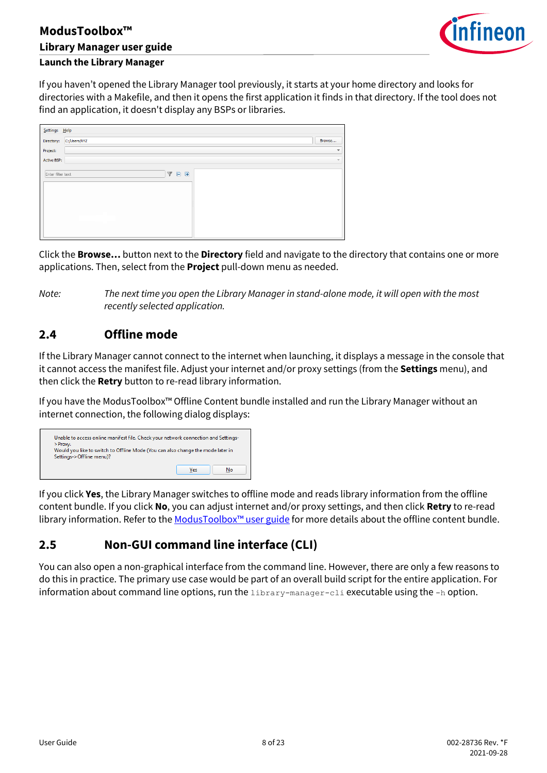

### **Launch the Library Manager**

If you haven't opened the Library Manager tool previously, it starts at your home directory and looks for directories with a Makefile, and then it opens the first application it finds in that directory. If the tool does not find an application, it doesn't display any BSPs or libraries.

| Settings Help     |                                                                             |                          |
|-------------------|-----------------------------------------------------------------------------|--------------------------|
| Directory:        | C:/Users/XYZ                                                                | Browse                   |
| Project:          |                                                                             | $\overline{\phantom{a}}$ |
| Active BSP:       |                                                                             | $\overline{\phantom{a}}$ |
| Enter filter text | $\overline{\mathbb{Y}}$<br>匣<br>$\qquad \qquad \qquad \qquad \qquad \qquad$ |                          |

Click the **Browse…** button next to the **Directory** field and navigate to the directory that contains one or more applications. Then, select from the **Project** pull-down menu as needed.

*Note: The next time you open the Library Manager in stand-alone mode, it will open with the most recently selected application.*

### <span id="page-7-0"></span>**2.4 Offline mode**

If the Library Manager cannot connect to the internet when launching, it displays a message in the console that it cannot access the manifest file. Adjust your internet and/or proxy settings (from the **Settings** menu), and then click the **Retry** button to re-read library information.

If you have the ModusToolbox™ Offline Content bundle installed and run the Library Manager without an internet connection, the following dialog displays:



If you click **Yes**, the Library Manager switches to offline mode and reads library information from the offline content bundle. If you click **No**, you can adjust internet and/or proxy settings, and then click **Retry** to re-read library information. Refer to the ModusToolbox<sup>™</sup> user guide for more details about the offline content bundle.

### <span id="page-7-1"></span>**2.5 Non-GUI command line interface (CLI)**

You can also open a non-graphical interface from the command line. However, there are only a few reasons to do this in practice. The primary use case would be part of an overall build script for the entire application. For information about command line options, run the library-manager-cli executable using the -h option.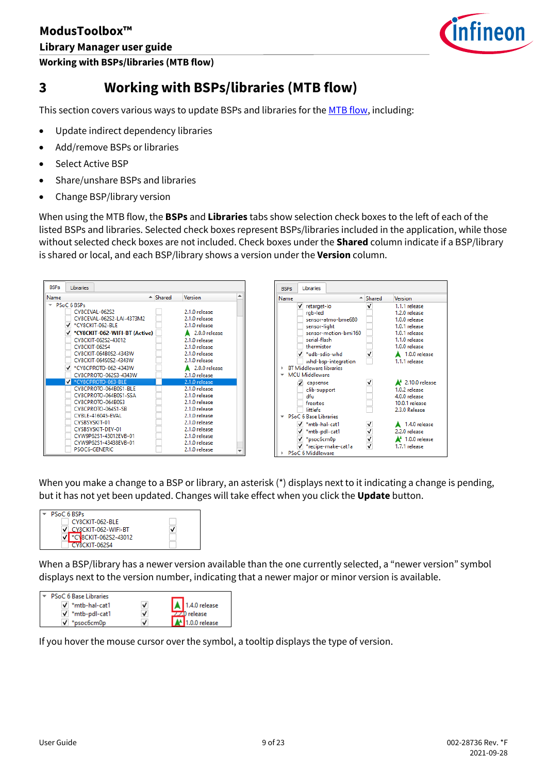

**Working with BSPs/libraries (MTB flow)**

# <span id="page-8-0"></span>**3 Working with BSPs/libraries (MTB flow)**

This section covers various ways to update BSPs and libraries for th[e MTB flow,](#page-2-4) including:

- Update indirect dependency libraries
- Add/remove BSPs or libraries
- Select Active BSP
- Share/unshare BSPs and libraries
- Change BSP/library version

When using the MTB flow, the **BSPs** and **Libraries** tabs show selection check boxes to the left of each of the listed BSPs and libraries. Selected check boxes represent BSPs/libraries included in the application, while those without selected check boxes are not included. Check boxes under the **Shared** column indicate if a BSP/library is shared or local, and each BSP/library shows a version under the **Version** column.



When you make a change to a BSP or library, an asterisk (\*) displays next to it indicating a change is pending, but it has not yet been updated. Changes will take effect when you click the **Update** button.



When a BSP/library has a newer version available than the one currently selected, a "newer version" symbol displays next to the version number, indicating that a newer major or minor version is available.

| <b>PSoC 6 Base Libraries</b> |   |                         |
|------------------------------|---|-------------------------|
| $\sqrt{\ }$ *mtb-hal-cat1    | ✓ | $\bigcup$ 1.4.0 release |
| $\sqrt{\ }}$ *mtb-pdl-cat1   | v | $7.20$ release          |
| $\sqrt{\ }$ *psoc6cm0p       | J | $1.0.0$ release         |

If you hover the mouse cursor over the symbol, a tooltip displays the type of version.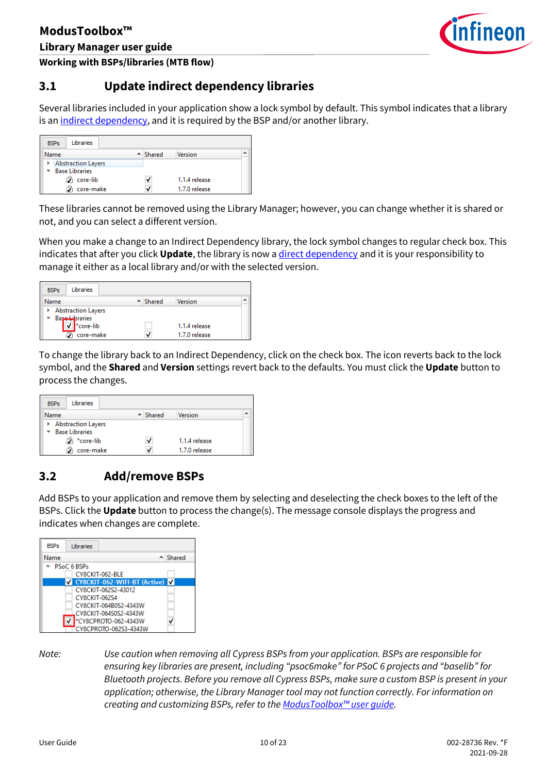

**Working with BSPs/libraries (MTB flow)**

### <span id="page-9-0"></span>**3.1 Update indirect dependency libraries**

Several libraries included in your application show a lock symbol by default. This symbol indicates that a library is an [indirect dependency,](#page-4-0) and it is required by the BSP and/or another library.

| Libraries<br><b>BSPs</b>  |                    |               |  |
|---------------------------|--------------------|---------------|--|
| Name                      | $\triangle$ Shared | Version       |  |
| <b>Abstraction Layers</b> |                    |               |  |
| <b>Base Libraries</b>     |                    |               |  |
| B)<br>core-lib            | ✓                  | 1.1.4 release |  |
| core-make                 | ✓                  | 1.7.0 release |  |

These libraries cannot be removed using the Library Manager; however, you can change whether it is shared or not, and you can select a different version.

When you make a change to an Indirect Dependency library, the lock symbol changes to regular check box. This indicates that after you click **Update**, the library is now [a direct dependency](#page-4-1) and it is your responsibility to manage it either as a local library and/or with the selected version.

| <b>BSPs</b> | Libraries                 |                    |                |  |
|-------------|---------------------------|--------------------|----------------|--|
| Name        |                           | $\triangle$ Shared | <b>Version</b> |  |
|             | <b>Abstraction Layers</b> |                    |                |  |
|             | Base Libraries            |                    |                |  |
|             | *core-lib                 |                    | 1.1.4 release  |  |
|             | core-make                 | V                  | 1.7.0 release  |  |

To change the library back to an Indirect Dependency, click on the check box. The icon reverts back to the lock symbol, and the **Shared** and **Version** settings revert back to the defaults. You must click the **Update** button to process the changes.

| Libraries<br><b>BSPs</b>                    |                    |               |
|---------------------------------------------|--------------------|---------------|
| Name                                        | $\triangle$ Shared | Version       |
| <b>Abstraction Layers</b><br>Base Libraries |                    |               |
| ြီ *core-lib                                | ✓                  | 1.1.4 release |
| core-make                                   | v                  | 1.7.0 release |

### <span id="page-9-1"></span>**3.2 Add/remove BSPs**

Add BSPs to your application and remove them by selecting and deselecting the check boxes to the left of the BSPs. Click the **Update** button to process the change(s). The message console displays the progress and indicates when changes are complete.

| <b>BSPs</b> | Libraries                        |                     |
|-------------|----------------------------------|---------------------|
| Name        |                                  | $\triangleq$ Shared |
|             | PSoC 6 BSPs                      |                     |
|             | CY8CKIT-062-BLE                  |                     |
|             | V CY8CKIT-062-WIFI-BT (Active) V |                     |
|             | CY8CKIT-062S2-43012              |                     |
|             | <b>CY8CKIT-062S4</b>             |                     |
|             | CY8CKIT-064B0S2-4343W            |                     |
|             | CY8CKIT-064S0S2-4343W            |                     |
|             | *CY8CPROTO-062-4343W             |                     |
|             | CY8CPROTO-062S3-4343W            |                     |

*Note: Use caution when removing all Cypress BSPs from your application. BSPs are responsible for ensuring key libraries are present, including "psoc6make" for PSoC 6 projects and "baselib" for Bluetooth projects. Before you remove all Cypress BSPs, make sure a custom BSP is present in your application; otherwise, the Library Manager tool may not function correctly. For information on creating and customizing BSPs, refer to the [ModusToolbox™](https://www.cypress.com/ModusToolboxUserGuide) user guide.*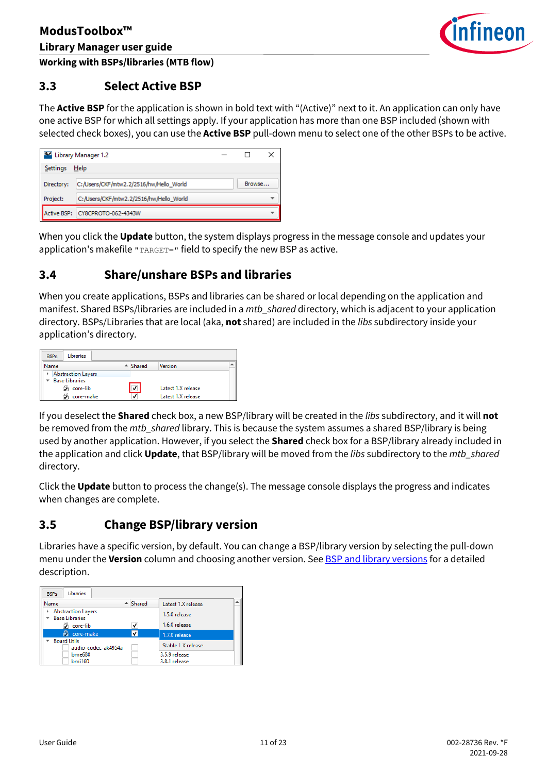

### <span id="page-10-0"></span>**3.3 Select Active BSP**

The **Active BSP** for the application is shown in bold text with "(Active)" next to it. An application can only have one active BSP for which all settings apply. If your application has more than one BSP included (shown with selected check boxes), you can use the **Active BSP** pull-down menu to select one of the other BSPs to be active.

| Library Manager 1.2 |                                         |  |        |  |
|---------------------|-----------------------------------------|--|--------|--|
| Settings            | Help                                    |  |        |  |
| Directory:          | C:/Users/CKF/mtw2.2/2516/hw/Hello World |  | Browse |  |
| Project:            | C:/Users/CKF/mtw2.2/2516/hw/Hello World |  |        |  |
| Active BSP:         | CY8CPROTO-062-4343W                     |  |        |  |

When you click the **Update** button, the system displays progress in the message console and updates your application's makefile "TARGET=" field to specify the new BSP as active.

### <span id="page-10-1"></span>**3.4 Share/unshare BSPs and libraries**

When you create applications, BSPs and libraries can be shared or local depending on the application and manifest. Shared BSPs/libraries are included in a *mtb\_shared* directory, which is adjacent to your application directory. BSPs/Libraries that are local (aka, **not** shared) are included in the *libs* subdirectory inside your application's directory.

| Libraries<br><b>BSPs</b>  |                         |                    |  |
|---------------------------|-------------------------|--------------------|--|
| Name                      | $\triangle$ Shared      | Version            |  |
| <b>Abstraction Layers</b> |                         |                    |  |
| <b>Base Libraries</b>     |                         |                    |  |
| €<br>core-lib             | $\overline{\mathsf{v}}$ | Latest 1.X release |  |
| core-make                 |                         | Latest 1.X release |  |

If you deselect the **Shared** check box, a new BSP/library will be created in the *libs* subdirectory, and it will **not** be removed from the *mtb\_shared* library. This is because the system assumes a shared BSP/library is being used by another application. However, if you select the **Shared** check box for a BSP/library already included in the application and click **Update**, that BSP/library will be moved from the *libs* subdirectory to the *mtb\_shared* directory.

Click the **Update** button to process the change(s). The message console displays the progress and indicates when changes are complete.

### <span id="page-10-2"></span>**3.5 Change BSP/library version**

Libraries have a specific version, by default. You can change a BSP/library version by selecting the pull-down menu under the **Version** column and choosing another version. See [BSP and library versions](#page-15-2) for a detailed description.

| <b>BSPs</b> | Libraries                                   |                     |                                |   |
|-------------|---------------------------------------------|---------------------|--------------------------------|---|
| Name        |                                             | $\triangleq$ Shared | Latest 1.X release             | ۰ |
|             | <b>Abstraction Layers</b><br>Base Libraries |                     | 1.5.0 release                  |   |
|             | Э<br>core-lib                               | V                   | 1.6.0 release                  |   |
|             | <b>R</b> core-make                          |                     | 1.7.0 release                  |   |
|             | <b>Board Utils</b><br>audio-codec-ak4954a   |                     | Stable 1.X release             |   |
|             | bme680<br><b>bmi160</b>                     |                     | 3.5.9 release<br>3.8.1 release |   |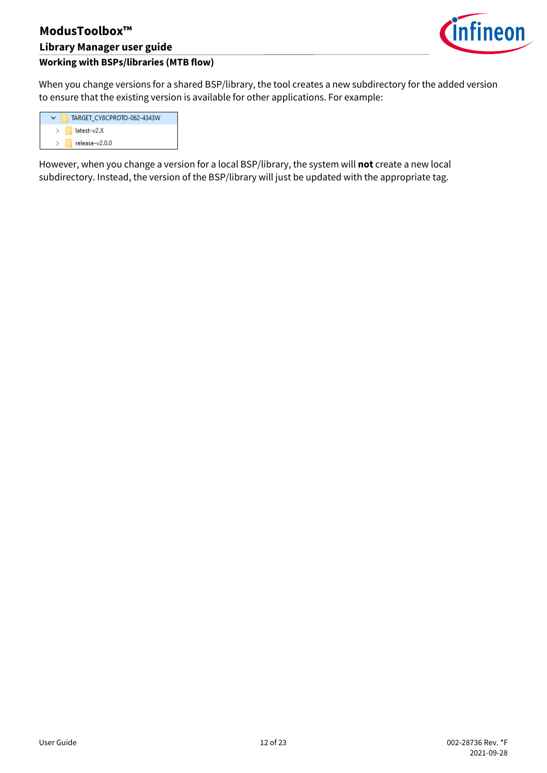

### **Working with BSPs/libraries (MTB flow)**

When you change versions for a shared BSP/library, the tool creates a new subdirectory for the added version to ensure that the existing version is available for other applications. For example:

| TARGET CY8CPROTO-062-4343W     |
|--------------------------------|
| $>$ $\blacksquare$ latest-v2.X |
| $\Box$ release-v2.0.0          |

However, when you change a version for a local BSP/library, the system will **not** create a new local subdirectory. Instead, the version of the BSP/library will just be updated with the appropriate tag.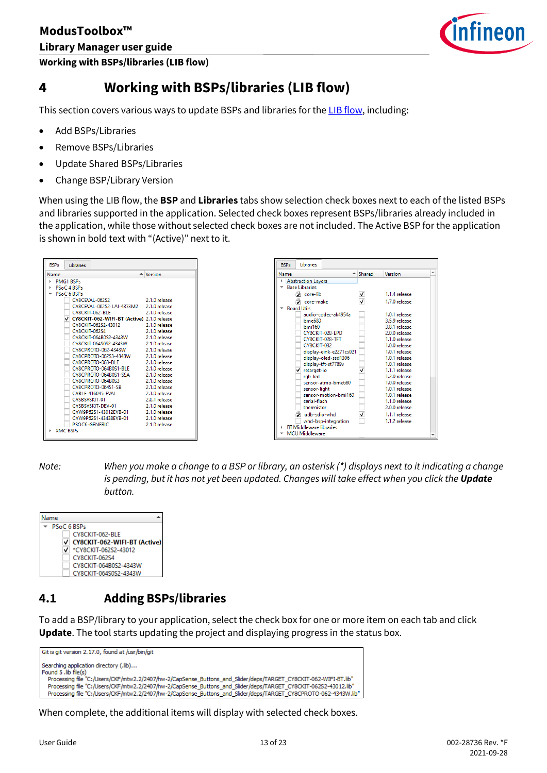**Working with BSPs/libraries (LIB flow)**



# <span id="page-12-0"></span>**4 Working with BSPs/libraries (LIB flow)**

This section covers various ways to update BSPs and libraries for th[e LIB flow,](#page-2-4) including:

- Add BSPs/Libraries
- Remove BSPs/Libraries
- Update Shared BSPs/Libraries
- Change BSP/Library Version

When using the LIB flow, the **BSP** and **Libraries** tabs show selection check boxes next to each of the listed BSPs and libraries supported in the application. Selected check boxes represent BSPs/libraries already included in the application, while those without selected check boxes are not included. The Active BSP for the application is shown in bold text with "(Active)" next to it.

| <b>RSPs</b> | Libraries                                    |                      |
|-------------|----------------------------------------------|----------------------|
| Name        |                                              | $\triangleq$ Version |
|             | <b>PMG1 BSPs</b>                             |                      |
|             | PSoC 4 BSPs                                  |                      |
|             | <b>PSoC 6 BSPs</b>                           |                      |
|             | CY8CEVAL-062S2                               | 2.1.0 release        |
|             | CY8CEVAL-062S2-LAI-4373M2 2.1.0 release      |                      |
|             | CY8CKIT-062-BLE 2.1.0 release                |                      |
|             | √ CY8CKIT-062-WIFI-BT (Active) 2.1.0 release |                      |
|             | CY8CKIT-062S2-43012 2.1.0 release            |                      |
|             | CY8CKIT-062S4                                | 2.1.0 release        |
|             | CY8CKIT-064B0S2-4343W                        | 2.1.0 release        |
|             | CY8CKIT-064S0S2-4343W 2.1.0 release          |                      |
|             | CY8CPROTO-062-4343W                          | 2.1.0 release        |
|             | CY8CPROTO-062S3-4343W 2.1.0 release          |                      |
|             | CY8CPROTO-063-BLE 2.1.0 release              |                      |
|             | CY8CPROTO-064B0S1-BLE 2.1.0 release          |                      |
|             | CY8CPROTO-064B0S1-SSA 2.1.0 release          |                      |
|             | CY8CPROTO-064B0S3 2.1.0 release              |                      |
|             | CY8CPROTO-064S1-SB 2.1.0 release             |                      |
|             | CYBLE-416045-EVAL 2.1.0 release              |                      |
|             | CYSBSVSKIT-01                                | 2.0.1 release        |
|             | CYSBSYSKIT-DEV-01                            | 2.1.0 release        |
|             | CYW9P62S1-43012EVR-01 2.1.0 release          |                      |
|             | CYW9P62S1-43438EVB-01 2.1.0 release          |                      |
|             | <b>PSOC6-GENERIC</b>                         | 2.1.0 release        |
|             | <b>XMC RSPs</b>                              |                      |
|             |                                              |                      |



*Note: When you make a change to a BSP or library, an asterisk (\*) displays next to it indicating a change*  is pending, but it has not yet been updated. Changes will take effect when you click the **Update** *button.*

| me                             |
|--------------------------------|
| PSoC 6 BSPs                    |
| CY8CKIT-062-BLE                |
| √ CY8CKIT-062-WIFI-BT (Active) |
| V *CY8CKIT-062S2-43012         |
| CY8CKIT-062S4                  |
| CY8CKIT-064B0S2-4343W          |
| CY8CKIT-064S0S2-4343W          |

### <span id="page-12-1"></span>**4.1 Adding BSPs/libraries**

To add a BSP/library to your application, select the check box for one or more item on each tab and click **Update**. The tool starts updating the project and displaying progress in the status box.



When complete, the additional items will display with selected check boxes.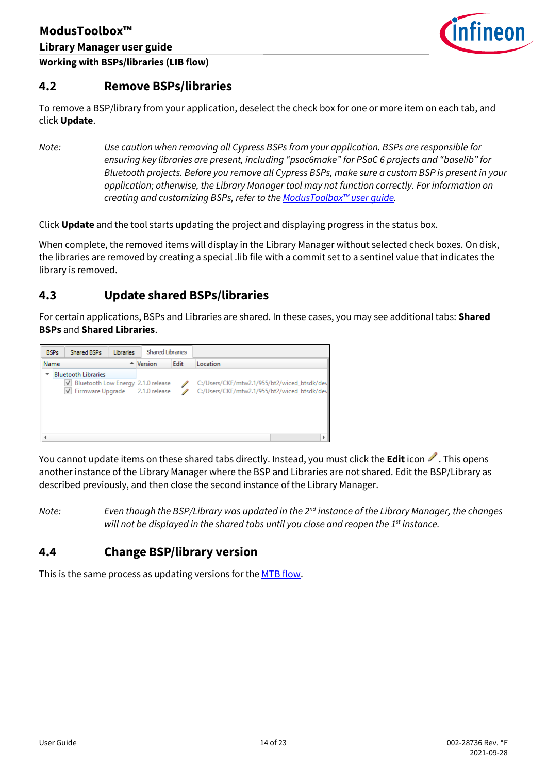

<span id="page-13-0"></span>**4.2 Remove BSPs/libraries**

To remove a BSP/library from your application, deselect the check box for one or more item on each tab, and click **Update**.

*Note: Use caution when removing all Cypress BSPs from your application. BSPs are responsible for ensuring key libraries are present, including "psoc6make" for PSoC 6 projects and "baselib" for Bluetooth projects. Before you remove all Cypress BSPs, make sure a custom BSP is present in your application; otherwise, the Library Manager tool may not function correctly. For information on creating and customizing BSPs, refer to the [ModusToolbox™](https://www.cypress.com/ModusToolboxUserGuide) user guide.*

Click **Update** and the tool starts updating the project and displaying progress in the status box.

When complete, the removed items will display in the Library Manager without selected check boxes. On disk, the libraries are removed by creating a special .lib file with a commit set to a sentinel value that indicates the library is removed.

### <span id="page-13-1"></span>**4.3 Update shared BSPs/libraries**

For certain applications, BSPs and Libraries are shared. In these cases, you may see additional tabs: **Shared BSPs** and **Shared Libraries**.

| <b>BSPs</b> | <b>Shared BSPs</b>                      | Libraries | <b>Shared Libraries</b> |      |                                             |  |
|-------------|-----------------------------------------|-----------|-------------------------|------|---------------------------------------------|--|
| Name        |                                         |           | $\triangleq$ Version    | Edit | Location                                    |  |
|             | <b>Bluetooth Libraries</b>              |           |                         |      |                                             |  |
|             | Bluetooth Low Energy 2.1.0 release<br>√ |           |                         |      | C:/Users/CKF/mtw2.1/955/bt2/wiced_btsdk/dev |  |
|             | Firmware Upgrade 2.1.0 release          |           |                         |      | C:/Users/CKF/mtw2.1/955/bt2/wiced_btsdk/dev |  |
|             |                                         |           |                         |      |                                             |  |
|             |                                         |           |                         |      |                                             |  |
|             |                                         |           |                         |      |                                             |  |
|             |                                         |           |                         |      |                                             |  |
|             |                                         |           |                         |      |                                             |  |

You cannot update items on these shared tabs directly. Instead, you must click the **Edit** icon . This opens another instance of the Library Manager where the BSP and Libraries are not shared. Edit the BSP/Library as described previously, and then close the second instance of the Library Manager.

*Note: Even though the BSP/Library was updated in the 2nd instance of the Library Manager, the changes will not be displayed in the shared tabs until you close and reopen the 1st instance.*

### <span id="page-13-2"></span>**4.4 Change BSP/library version**

This is the same process as updating versions for the **MTB** flow.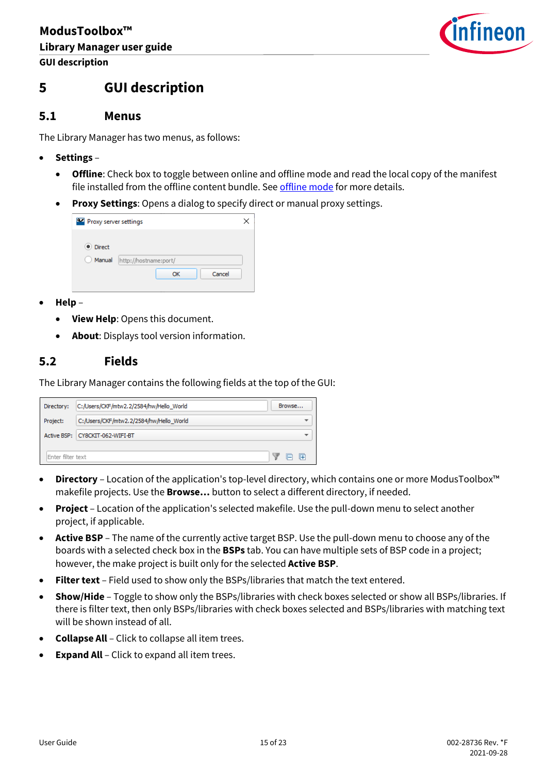

# <span id="page-14-0"></span>**5 GUI description**

### <span id="page-14-1"></span>**5.1 Menus**

The Library Manager has two menus, as follows:

- **Settings**
	- **Offline**: Check box to toggle between online and offline mode and read the local copy of the manifest file installed from the offline content bundle. Se[e offline mode](#page-7-0) for more details.
	- **Proxy Settings**: Opens a dialog to specify direct or manual proxy settings.

| Proxy server settings     |                                       |  |
|---------------------------|---------------------------------------|--|
| <b>O</b> Direct<br>Manual | http://hostname:port/<br>Cancel<br>ОК |  |

- **Help**
	- **View Help**: Opens this document.
	- **About**: Displays tool version information.

### <span id="page-14-2"></span>**5.2 Fields**

The Library Manager contains the following fields at the top of the GUI:

| Directory:        | C:/Users/CKF/mtw2.2/2584/hw/Hello_World |  | Browse |   |
|-------------------|-----------------------------------------|--|--------|---|
| Project:          | C:/Users/CKF/mtw2.2/2584/hw/Hello_World |  |        | ▼ |
|                   | Active BSP: CY8CKIT-062-WIFI-BT<br>▼    |  |        |   |
| Enter filter text |                                         |  |        |   |

- **Directory** Location of the application's top-level directory, which contains one or more ModusToolbox™ makefile projects. Use the **Browse…** button to select a different directory, if needed.
- **Project**  Location of the application's selected makefile. Use the pull-down menu to select another project, if applicable.
- **Active BSP**  The name of the currently active target BSP. Use the pull-down menu to choose any of the boards with a selected check box in the **BSPs** tab. You can have multiple sets of BSP code in a project; however, the make project is built only for the selected **Active BSP**.
- **Filter text**  Field used to show only the BSPs/libraries that match the text entered.
- **Show/Hide** Toggle to show only the BSPs/libraries with check boxes selected or show all BSPs/libraries. If there is filter text, then only BSPs/libraries with check boxes selected and BSPs/libraries with matching text will be shown instead of all.
- **Collapse All** Click to collapse all item trees.
- **Expand All** Click to expand all item trees.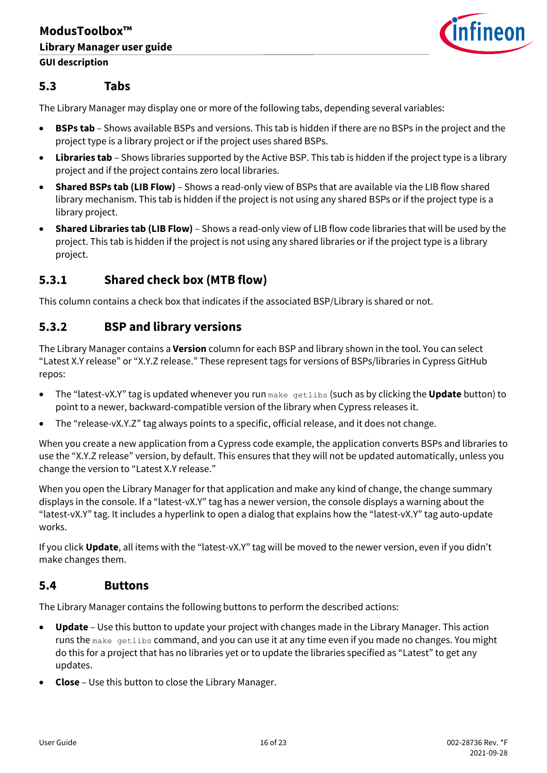

### <span id="page-15-0"></span>**5.3 Tabs**

The Library Manager may display one or more of the following tabs, depending several variables:

- **BSPs tab** Shows available BSPs and versions. This tab is hidden if there are no BSPs in the project and the project type is a library project or if the project uses shared BSPs.
- **Libraries tab** Shows libraries supported by the Active BSP. This tab is hidden if the project type is a library project and if the project contains zero local libraries.
- **Shared BSPs tab (LIB Flow)**  Shows a read-only view of BSPs that are available via the LIB flow shared library mechanism. This tab is hidden if the project is not using any shared BSPs or if the project type is a library project.
- **Shared Libraries tab (LIB Flow)**  Shows a read-only view of LIB flow code libraries that will be used by the project. This tab is hidden if the project is not using any shared libraries or if the project type is a library project.

### **5.3.1 Shared check box (MTB flow)**

This column contains a check box that indicates if the associated BSP/Library is shared or not.

### <span id="page-15-2"></span>**5.3.2 BSP and library versions**

The Library Manager contains a **Version** column for each BSP and library shown in the tool. You can select "Latest X.Y release" or "X.Y.Z release." These represent tags for versions of BSPs/libraries in Cypress GitHub repos:

- The "latest-vX.Y" tag is updated whenever you run make getlibs (such as by clicking the **Update** button) to point to a newer, backward-compatible version of the library when Cypress releases it.
- The "release-vX.Y.Z" tag always points to a specific, official release, and it does not change.

When you create a new application from a Cypress code example, the application converts BSPs and libraries to use the "X.Y.Z release" version, by default. This ensures that they will not be updated automatically, unless you change the version to "Latest X.Y release."

When you open the Library Manager for that application and make any kind of change, the change summary displays in the console. If a "latest-vX.Y" tag has a newer version, the console displays a warning about the "latest-vX.Y" tag. It includes a hyperlink to open a dialog that explains how the "latest-vX.Y" tag auto-update works.

If you click **Update**, all items with the "latest-vX.Y" tag will be moved to the newer version, even if you didn't make changes them.

### <span id="page-15-1"></span>**5.4 Buttons**

The Library Manager contains the following buttons to perform the described actions:

- **Update** Use this button to update your project with changes made in the Library Manager. This action runs the make getlibs command, and you can use it at any time even if you made no changes. You might do this for a project that has no libraries yet or to update the libraries specified as "Latest" to get any updates.
- **Close** Use this button to close the Library Manager.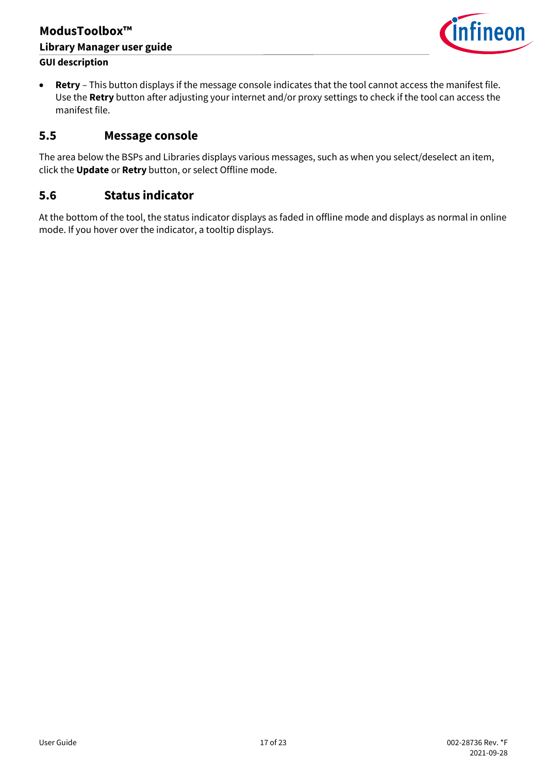### **ModusToolbox™ Library Manager user guide GUI description**



• **Retry** – This button displays if the message console indicates that the tool cannot access the manifest file. Use the **Retry** button after adjusting your internet and/or proxy settings to check if the tool can access the manifest file.

### <span id="page-16-0"></span>**5.5 Message console**

The area below the BSPs and Libraries displays various messages, such as when you select/deselect an item, click the **Update** or **Retry** button, or select Offline mode.

### <span id="page-16-1"></span>**5.6 Status indicator**

At the bottom of the tool, the status indicator displays as faded in offline mode and displays as normal in online mode. If you hover over the indicator, a tooltip displays.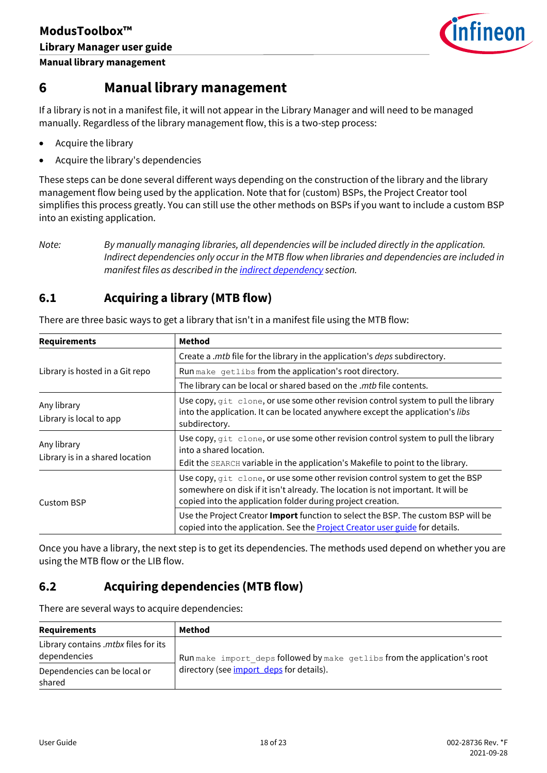

### <span id="page-17-0"></span>**6 Manual library management**

If a library is not in a manifest file, it will not appear in the Library Manager and will need to be managed manually. Regardless of the library management flow, this is a two-step process:

- Acquire the library
- Acquire the library's dependencies

These steps can be done several different ways depending on the construction of the library and the library management flow being used by the application. Note that for (custom) BSPs, the Project Creator tool simplifies this process greatly. You can still use the other methods on BSPs if you want to include a custom BSP into an existing application.

*Note: By manually managing libraries, all dependencies will be included directly in the application. Indirect dependencies only occur in the MTB flow when libraries and dependencies are included in manifest files as described in the [indirect dependency](#page-4-0) section.*

### <span id="page-17-1"></span>**6.1 Acquiring a library (MTB flow)**

| <b>Requirements</b>                            | <b>Method</b>                                                                                                                                                                                                                    |
|------------------------------------------------|----------------------------------------------------------------------------------------------------------------------------------------------------------------------------------------------------------------------------------|
|                                                | Create a .mtb file for the library in the application's <i>deps</i> subdirectory.                                                                                                                                                |
| Library is hosted in a Git repo                | Run make getlibs from the application's root directory.                                                                                                                                                                          |
|                                                | The library can be local or shared based on the .mtb file contents.                                                                                                                                                              |
| Any library<br>Library is local to app         | Use copy, git clone, or use some other revision control system to pull the library<br>into the application. It can be located anywhere except the application's libs<br>subdirectory.                                            |
| Any library<br>Library is in a shared location | Use copy, git clone, or use some other revision control system to pull the library<br>into a shared location.<br>Edit the SEARCH variable in the application's Makefile to point to the library.                                 |
| <b>Custom BSP</b>                              | Use copy, git clone, or use some other revision control system to get the BSP<br>somewhere on disk if it isn't already. The location is not important. It will be<br>copied into the application folder during project creation. |
|                                                | Use the Project Creator Import function to select the BSP. The custom BSP will be<br>copied into the application. See the <b>Project Creator user guide</b> for details.                                                         |

There are three basic ways to get a library that isn't in a manifest file using the MTB flow:

Once you have a library, the next step is to get its dependencies. The methods used depend on whether you are using the MTB flow or the LIB flow.

### <span id="page-17-2"></span>**6.2 Acquiring dependencies (MTB flow)**

There are several ways to acquire dependencies:

| <b>Requirements</b>                                  | Method                                                                    |
|------------------------------------------------------|---------------------------------------------------------------------------|
| Library contains .mtbx files for its<br>dependencies | Run make import deps followed by make getlibs from the application's root |
| Dependencies can be local or<br>shared               | directory (see import_deps for details).                                  |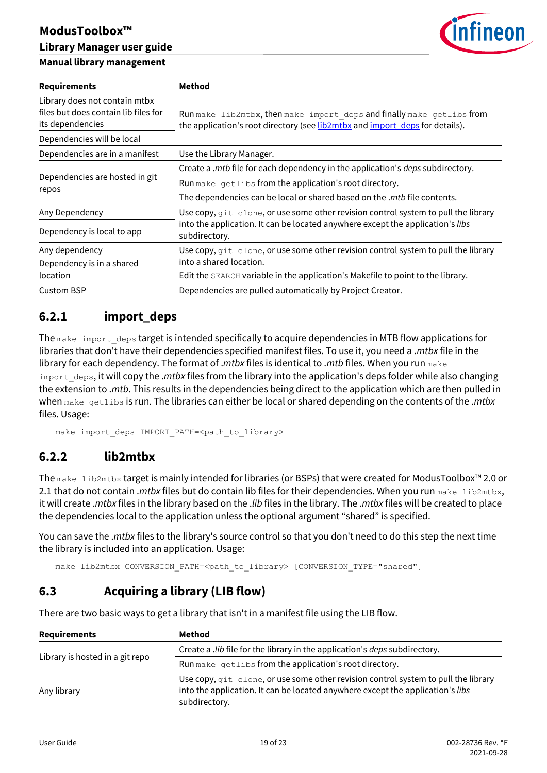# **ModusToolbox™**

### **Library Manager user guide**

### **Manual library management**



| <b>Requirements</b>                                                                       | Method                                                                                                                                                                                              |
|-------------------------------------------------------------------------------------------|-----------------------------------------------------------------------------------------------------------------------------------------------------------------------------------------------------|
| Library does not contain mtbx<br>files but does contain lib files for<br>its dependencies | Run make lib2mtbx, then make import deps and finally make getlibs from<br>the application's root directory (see lib2mtbx and import_deps for details).                                              |
| Dependencies will be local                                                                |                                                                                                                                                                                                     |
| Dependencies are in a manifest                                                            | Use the Library Manager.                                                                                                                                                                            |
|                                                                                           | Create a .mtb file for each dependency in the application's deps subdirectory.                                                                                                                      |
| Dependencies are hosted in git                                                            | Run make getlibs from the application's root directory.                                                                                                                                             |
| repos                                                                                     | The dependencies can be local or shared based on the .mtb file contents.                                                                                                                            |
| Any Dependency                                                                            | Use copy, git clone, or use some other revision control system to pull the library                                                                                                                  |
| Dependency is local to app                                                                | into the application. It can be located anywhere except the application's libs<br>subdirectory.                                                                                                     |
| Any dependency<br>Dependency is in a shared<br>location                                   | Use copy, $q$ it clone, or use some other revision control system to pull the library<br>into a shared location.<br>Edit the SEARCH variable in the application's Makefile to point to the library. |
| <b>Custom BSP</b>                                                                         | Dependencies are pulled automatically by Project Creator.                                                                                                                                           |

### <span id="page-18-1"></span>**6.2.1 import\_deps**

The make import deps target is intended specifically to acquire dependencies in MTB flow applications for libraries that don't have their dependencies specified manifest files. To use it, you need a .*mtbx* file in the library for each dependency. The format of .*mtbx* files is identical to .*mtb* files. When you run make import deps, it will copy the *.mtbx* files from the library into the application's deps folder while also changing the extension to .*mtb*. This results in the dependencies being direct to the application which are then pulled in when make getlibs is run. The libraries can either be local or shared depending on the contents of the .*mtbx* files. Usage:

make import deps IMPORT PATH=<path to library>

### <span id="page-18-2"></span>**6.2.2 lib2mtbx**

The make lib2mtbx target is mainly intended for libraries (or BSPs) that were created for ModusToolbox™ 2.0 or 2.1 that do not contain *.mtbx* files but do contain lib files for their dependencies. When you run make lib2mtbx, it will create .*mtbx* files in the library based on the .*lib* files in the library. The .*mtbx* files will be created to place the dependencies local to the application unless the optional argument "shared" is specified.

You can save the .*mtbx* files to the library's source control so that you don't need to do this step the next time the library is included into an application. Usage:

make lib2mtbx CONVERSION PATH=<path to library> [CONVERSION TYPE="shared"]

## <span id="page-18-0"></span>**6.3 Acquiring a library (LIB flow)**

| <b>Requirements</b>             | Method                                                                                                                                                                                |
|---------------------------------|---------------------------------------------------------------------------------------------------------------------------------------------------------------------------------------|
|                                 | Create a <i>.lib</i> file for the library in the application's <i>deps</i> subdirectory.                                                                                              |
| Library is hosted in a git repo | Run make getlibs from the application's root directory.                                                                                                                               |
| Any library                     | Use copy, git clone, or use some other revision control system to pull the library<br>into the application. It can be located anywhere except the application's libs<br>subdirectory. |

There are two basic ways to get a library that isn't in a manifest file using the LIB flow.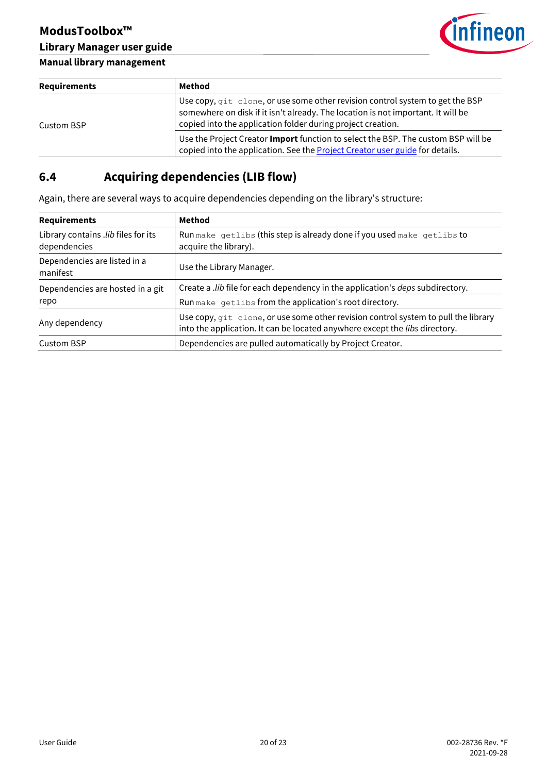

### **Manual library management**

| Requirements | Method                                                                                                                                                                                                                           |
|--------------|----------------------------------------------------------------------------------------------------------------------------------------------------------------------------------------------------------------------------------|
| Custom BSP   | Use copy, git clone, or use some other revision control system to get the BSP<br>somewhere on disk if it isn't already. The location is not important. It will be<br>copied into the application folder during project creation. |
|              | Use the Project Creator <b>Import</b> function to select the BSP. The custom BSP will be<br>copied into the application. See the <b>Project Creator user guide</b> for details.                                                  |

# <span id="page-19-0"></span>**6.4 Acquiring dependencies (LIB flow)**

Again, there are several ways to acquire dependencies depending on the library's structure:

| <b>Requirements</b>                                 | Method                                                                                                                                                            |
|-----------------------------------------------------|-------------------------------------------------------------------------------------------------------------------------------------------------------------------|
| Library contains .lib files for its<br>dependencies | Run make getlibs (this step is already done if you used make getlibs to<br>acquire the library).                                                                  |
| Dependencies are listed in a<br>manifest            | Use the Library Manager.                                                                                                                                          |
| Dependencies are hosted in a git                    | Create a .lib file for each dependency in the application's <i>deps</i> subdirectory.                                                                             |
| repo                                                | Run make getlibs from the application's root directory.                                                                                                           |
| Any dependency                                      | Use copy, git clone, or use some other revision control system to pull the library<br>into the application. It can be located anywhere except the libs directory. |
| <b>Custom BSP</b>                                   | Dependencies are pulled automatically by Project Creator.                                                                                                         |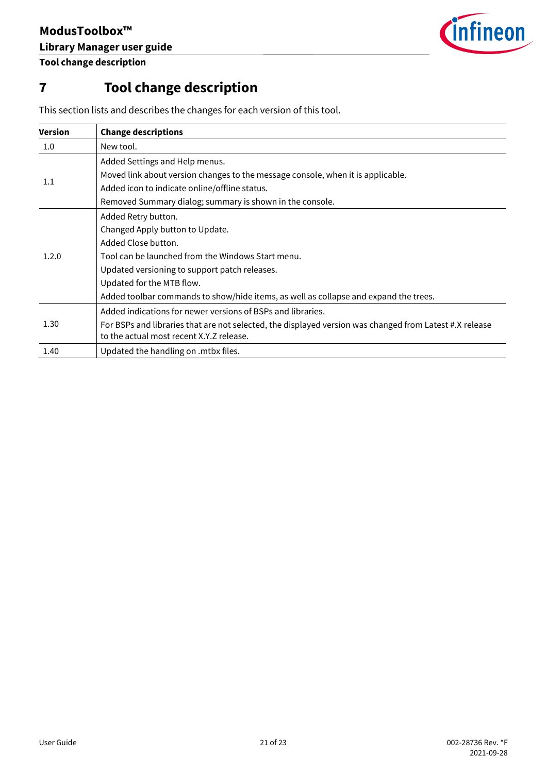

**Tool change description**

# <span id="page-20-0"></span>**7 Tool change description**

| <b>Version</b> | <b>Change descriptions</b>                                                                              |
|----------------|---------------------------------------------------------------------------------------------------------|
| $1.0\,$        | New tool.                                                                                               |
| 1.1            | Added Settings and Help menus.                                                                          |
|                | Moved link about version changes to the message console, when it is applicable.                         |
|                | Added icon to indicate online/offline status.                                                           |
|                | Removed Summary dialog; summary is shown in the console.                                                |
| 1.2.0          | Added Retry button.                                                                                     |
|                | Changed Apply button to Update.                                                                         |
|                | Added Close button.                                                                                     |
|                | Tool can be launched from the Windows Start menu.                                                       |
|                | Updated versioning to support patch releases.                                                           |
|                | Updated for the MTB flow.                                                                               |
|                | Added toolbar commands to show/hide items, as well as collapse and expand the trees.                    |
| 1.30           | Added indications for newer versions of BSPs and libraries.                                             |
|                | For BSPs and libraries that are not selected, the displayed version was changed from Latest #.X release |
|                | to the actual most recent X.Y.Z release.                                                                |
| 1.40           | Updated the handling on .mtbx files.                                                                    |

This section lists and describes the changes for each version of this tool.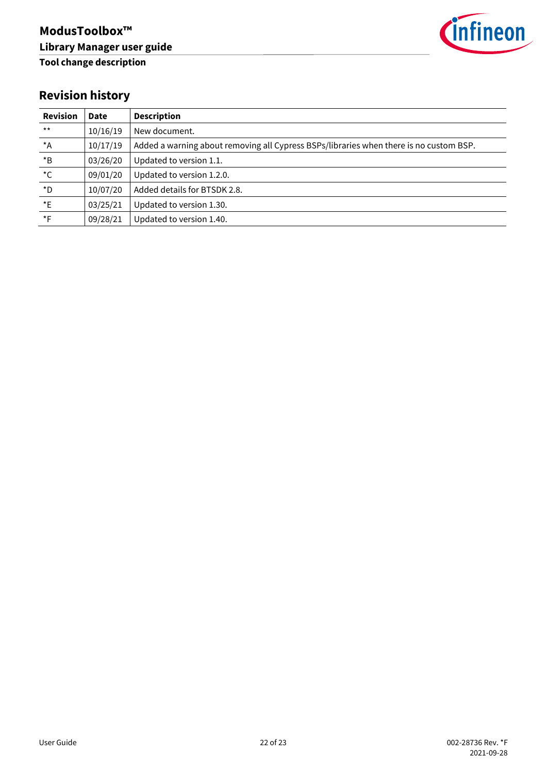

# **Revision history**

| <b>Revision</b>    | Date     | <b>Description</b>                                                                     |
|--------------------|----------|----------------------------------------------------------------------------------------|
| $***$              | 10/16/19 | New document.                                                                          |
| $*_{A}$            | 10/17/19 | Added a warning about removing all Cypress BSPs/libraries when there is no custom BSP. |
| $^\star\textsf{B}$ | 03/26/20 | Updated to version 1.1.                                                                |
| $^{\star}$ C       | 09/01/20 | Updated to version 1.2.0.                                                              |
| $\star$ D          | 10/07/20 | Added details for BTSDK 2.8.                                                           |
| $E^*$              | 03/25/21 | Updated to version 1.30.                                                               |
| $\star$ F          | 09/28/21 | Updated to version 1.40.                                                               |